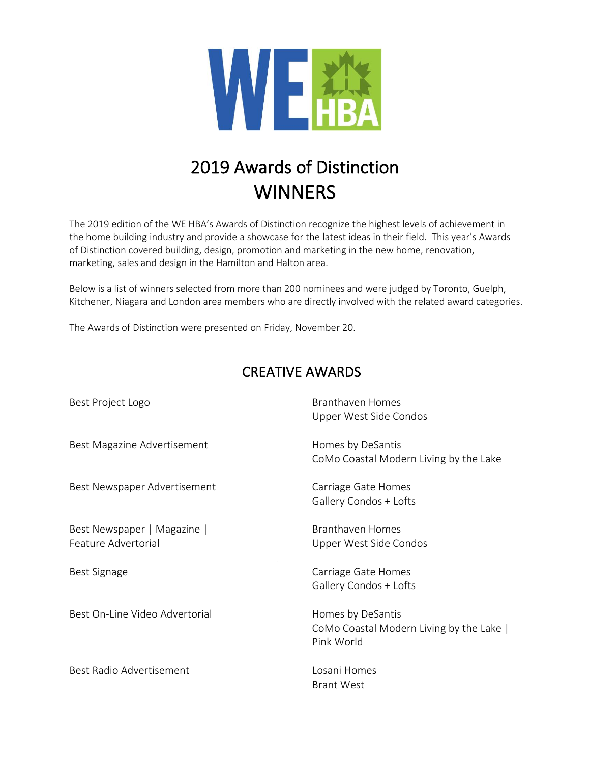

## 2019 Awards of Distinction **WINNERS**

The 2019 edition of the WE HBA's Awards of Distinction recognize the highest levels of achievement in the home building industry and provide a showcase for the latest ideas in their field. This year's Awards of Distinction covered building, design, promotion and marketing in the new home, renovation, marketing, sales and design in the Hamilton and Halton area.

Below is a list of winners selected from more than 200 nominees and were judged by Toronto, Guelph, Kitchener, Niagara and London area members who are directly involved with the related award categories.

The Awards of Distinction were presented on Friday, November 20.

## CREATIVE AWARDS

| Best Project Logo                                  | <b>Branthaven Homes</b><br>Upper West Side Condos                           |
|----------------------------------------------------|-----------------------------------------------------------------------------|
| Best Magazine Advertisement                        | Homes by DeSantis<br>CoMo Coastal Modern Living by the Lake                 |
| Best Newspaper Advertisement                       | Carriage Gate Homes<br>Gallery Condos + Lofts                               |
| Best Newspaper   Magazine  <br>Feature Advertorial | Branthaven Homes<br>Upper West Side Condos                                  |
| Best Signage                                       | Carriage Gate Homes<br>Gallery Condos + Lofts                               |
| Best On-Line Video Advertorial                     | Homes by DeSantis<br>CoMo Coastal Modern Living by the Lake  <br>Pink World |
| Best Radio Advertisement                           | Losani Homes<br><b>Brant West</b>                                           |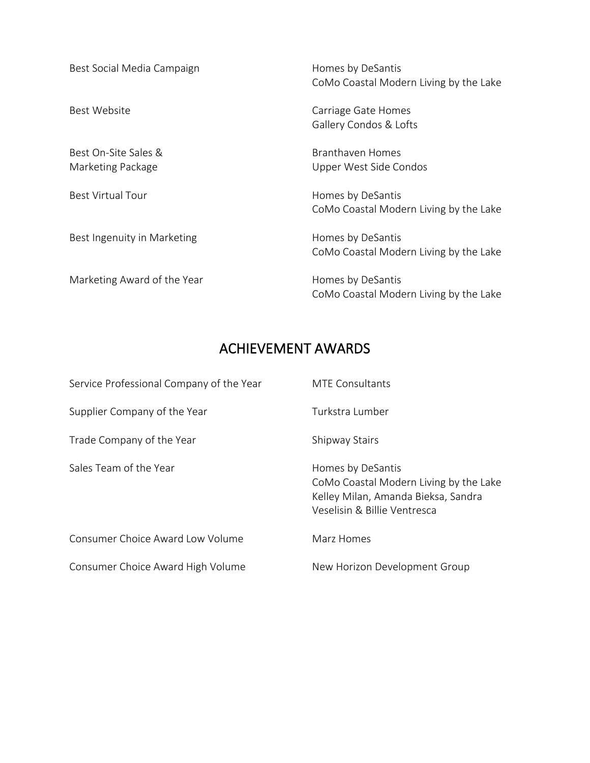| Best Social Media Campaign                | Homes by DeSantis<br>CoMo Coastal Modern Living by the Lake |
|-------------------------------------------|-------------------------------------------------------------|
| Best Website                              | Carriage Gate Homes<br>Gallery Condos & Lofts               |
| Best On-Site Sales &<br>Marketing Package | Branthaven Homes<br>Upper West Side Condos                  |
| <b>Best Virtual Tour</b>                  | Homes by DeSantis<br>CoMo Coastal Modern Living by the Lake |
| Best Ingenuity in Marketing               | Homes by DeSantis<br>CoMo Coastal Modern Living by the Lake |
| Marketing Award of the Year               | Homes by DeSantis<br>CoMo Coastal Modern Living by the Lake |

## ACHIEVEMENT AWARDS

| Service Professional Company of the Year | <b>MTE Consultants</b>                                                                                                             |
|------------------------------------------|------------------------------------------------------------------------------------------------------------------------------------|
| Supplier Company of the Year             | Turkstra Lumber                                                                                                                    |
| Trade Company of the Year                | <b>Shipway Stairs</b>                                                                                                              |
| Sales Team of the Year                   | Homes by DeSantis<br>CoMo Coastal Modern Living by the Lake<br>Kelley Milan, Amanda Bieksa, Sandra<br>Veselisin & Billie Ventresca |
| Consumer Choice Award Low Volume         | Marz Homes                                                                                                                         |
| Consumer Choice Award High Volume        | New Horizon Development Group                                                                                                      |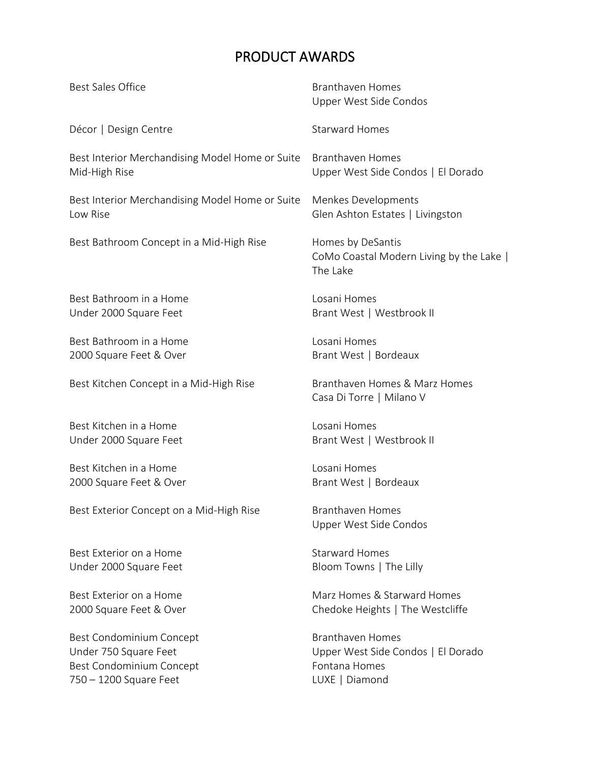## PRODUCT AWARDS

| <b>Best Sales Office</b>                        | <b>Branthaven Homes</b><br>Upper West Side Condos                         |
|-------------------------------------------------|---------------------------------------------------------------------------|
| Décor   Design Centre                           | <b>Starward Homes</b>                                                     |
| Best Interior Merchandising Model Home or Suite | <b>Branthaven Homes</b>                                                   |
| Mid-High Rise                                   | Upper West Side Condos   El Dorado                                        |
| Best Interior Merchandising Model Home or Suite | Menkes Developments                                                       |
| Low Rise                                        | Glen Ashton Estates   Livingston                                          |
| Best Bathroom Concept in a Mid-High Rise        | Homes by DeSantis<br>CoMo Coastal Modern Living by the Lake  <br>The Lake |
| Best Bathroom in a Home                         | Losani Homes                                                              |
| Under 2000 Square Feet                          | Brant West   Westbrook II                                                 |
| Best Bathroom in a Home                         | Losani Homes                                                              |
| 2000 Square Feet & Over                         | Brant West   Bordeaux                                                     |
| Best Kitchen Concept in a Mid-High Rise         | Branthaven Homes & Marz Homes<br>Casa Di Torre   Milano V                 |
| Best Kitchen in a Home                          | Losani Homes                                                              |
| Under 2000 Square Feet                          | Brant West   Westbrook II                                                 |
| Best Kitchen in a Home                          | Losani Homes                                                              |
| 2000 Square Feet & Over                         | Brant West   Bordeaux                                                     |
| Best Exterior Concept on a Mid-High Rise        | <b>Branthaven Homes</b><br>Upper West Side Condos                         |
| Best Exterior on a Home                         | <b>Starward Homes</b>                                                     |
| Under 2000 Square Feet                          | Bloom Towns   The Lilly                                                   |
| Best Exterior on a Home                         | Marz Homes & Starward Homes                                               |
| 2000 Square Feet & Over                         | Chedoke Heights   The Westcliffe                                          |
| Best Condominium Concept                        | <b>Branthaven Homes</b>                                                   |
| Under 750 Square Feet                           | Upper West Side Condos   El Dorado                                        |
| Best Condominium Concept                        | Fontana Homes                                                             |
| 750 - 1200 Square Feet                          | LUXE   Diamond                                                            |